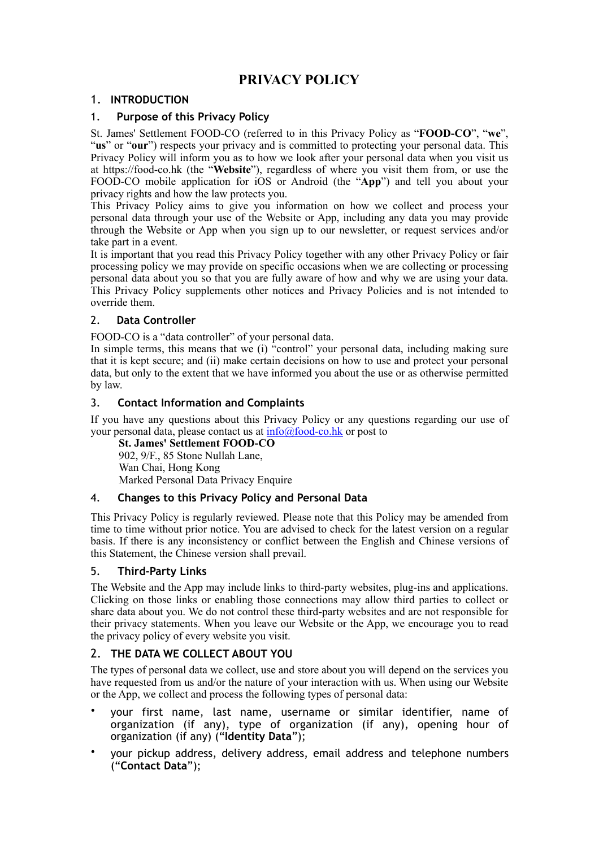# **PRIVACY POLICY**

# 1. **INTRODUCTION**

### 1. **Purpose of this Privacy Policy**

St. James' Settlement FOOD-CO (referred to in this Privacy Policy as "**FOOD-CO**", "**we**", "**us**" or "**our**") respects your privacy and is committed to protecting your personal data. This Privacy Policy will inform you as to how we look after your personal data when you visit us at https://food-co.hk (the "**Website**"), regardless of where you visit them from, or use the FOOD-CO mobile application for iOS or Android (the "**App**") and tell you about your privacy rights and how the law protects you.

This Privacy Policy aims to give you information on how we collect and process your personal data through your use of the Website or App, including any data you may provide through the Website or App when you sign up to our newsletter, or request services and/or take part in a event.

It is important that you read this Privacy Policy together with any other Privacy Policy or fair processing policy we may provide on specific occasions when we are collecting or processing personal data about you so that you are fully aware of how and why we are using your data. This Privacy Policy supplements other notices and Privacy Policies and is not intended to override them.

# 2. **Data Controller**

FOOD-CO is a "data controller" of your personal data.

In simple terms, this means that we (i)  $\alpha$  control" your personal data, including making sure that it is kept secure; and (ii) make certain decisions on how to use and protect your personal data, but only to the extent that we have informed you about the use or as otherwise permitted by law.

# 3. **Contact Information and Complaints**

If you have any questions about this Privacy Policy or any questions regarding our use of your personal data, please contact us at  $\frac{info(Qfood-co.hk)}{rho-co.hk}$  or post to

**St. James' Settlement FOOD-CO** 902, 9/F., 85 Stone Nullah Lane, Wan Chai, Hong Kong Marked Personal Data Privacy Enquire

### 4. **Changes to this Privacy Policy and Personal Data**

This Privacy Policy is regularly reviewed. Please note that this Policy may be amended from time to time without prior notice. You are advised to check for the latest version on a regular basis. If there is any inconsistency or conflict between the English and Chinese versions of this Statement, the Chinese version shall prevail.

### 5. **Third-Party Links**

The Website and the App may include links to third-party websites, plug-ins and applications. Clicking on those links or enabling those connections may allow third parties to collect or share data about you. We do not control these third-party websites and are not responsible for their privacy statements. When you leave our Website or the App, we encourage you to read the privacy policy of every website you visit.

# 2. **THE DATA WE COLLECT ABOUT YOU**

The types of personal data we collect, use and store about you will depend on the services you have requested from us and/or the nature of your interaction with us. When using our Website or the App, we collect and process the following types of personal data:

- your first name, last name, username or similar identifier, name of organization (if any), type of organization (if any), opening hour of organization (if any) ("**Identity Data**");
- your pickup address, delivery address, email address and telephone numbers ("**Contact Data**");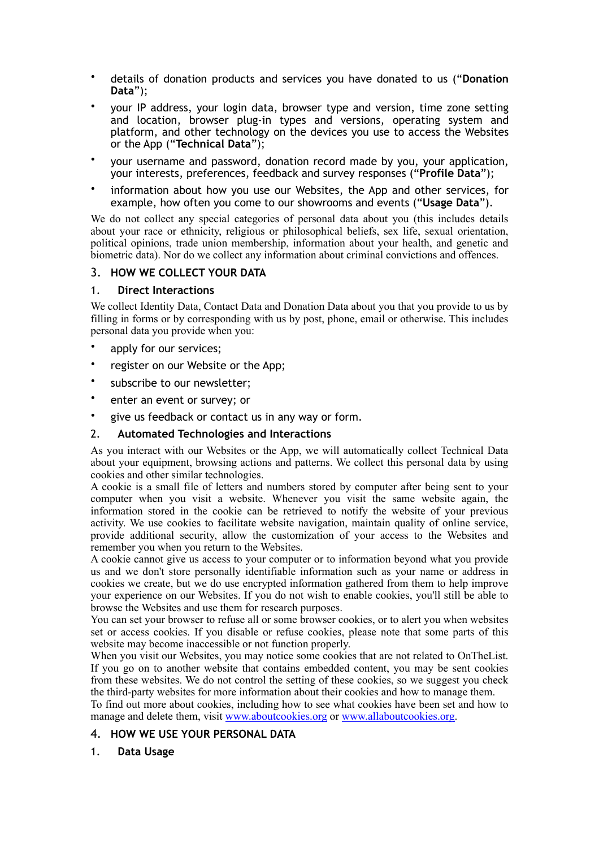- details of donation products and services you have donated to us ("**Donation Data**");
- your IP address, your login data, browser type and version, time zone setting and location, browser plug-in types and versions, operating system and platform, and other technology on the devices you use to access the Websites or the App ("**Technical Data**");
- your username and password, donation record made by you, your application, your interests, preferences, feedback and survey responses ("**Profile Data**");
- information about how you use our Websites, the App and other services, for example, how often you come to our showrooms and events ("**Usage Data**").

We do not collect any special categories of personal data about you (this includes details about your race or ethnicity, religious or philosophical beliefs, sex life, sexual orientation, political opinions, trade union membership, information about your health, and genetic and biometric data). Nor do we collect any information about criminal convictions and offences.

#### 3. **HOW WE COLLECT YOUR DATA**

#### 1. **Direct Interactions**

We collect Identity Data, Contact Data and Donation Data about you that you provide to us by filling in forms or by corresponding with us by post, phone, email or otherwise. This includes personal data you provide when you:

- apply for our services;
- register on our Website or the App;
- subscribe to our newsletter;
- enter an event or survey; or
- give us feedback or contact us in any way or form.

#### 2. **Automated Technologies and Interactions**

As you interact with our Websites or the App, we will automatically collect Technical Data about your equipment, browsing actions and patterns. We collect this personal data by using cookies and other similar technologies.

A cookie is a small file of letters and numbers stored by computer after being sent to your computer when you visit a website. Whenever you visit the same website again, the information stored in the cookie can be retrieved to notify the website of your previous activity. We use cookies to facilitate website navigation, maintain quality of online service, provide additional security, allow the customization of your access to the Websites and remember you when you return to the Websites.

A cookie cannot give us access to your computer or to information beyond what you provide us and we don't store personally identifiable information such as your name or address in cookies we create, but we do use encrypted information gathered from them to help improve your experience on our Websites. If you do not wish to enable cookies, you'll still be able to browse the Websites and use them for research purposes.

You can set your browser to refuse all or some browser cookies, or to alert you when websites set or access cookies. If you disable or refuse cookies, please note that some parts of this website may become inaccessible or not function properly.

When you visit our Websites, you may notice some cookies that are not related to OnTheList. If you go on to another website that contains embedded content, you may be sent cookies from these websites. We do not control the setting of these cookies, so we suggest you check the third-party websites for more information about their cookies and how to manage them.

To find out more about cookies, including how to see what cookies have been set and how to manage and delete them, visit [www.aboutcookies.org](http://www.aboutcookies.org/) or [www.allaboutcookies.org.](http://www.allaboutcookies.org/)

# 4. **HOW WE USE YOUR PERSONAL DATA**

### 1. **Data Usage**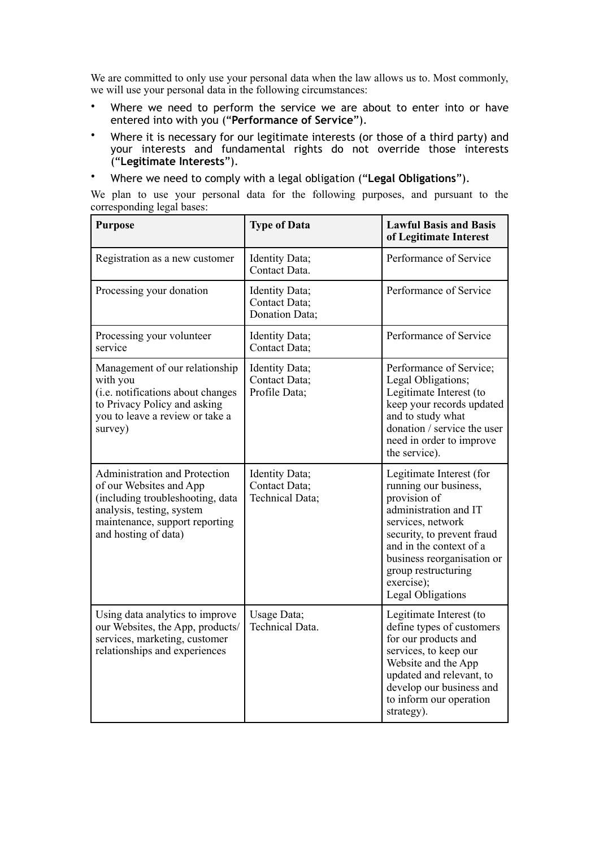We are committed to only use your personal data when the law allows us to. Most commonly, we will use your personal data in the following circumstances:

- Where we need to perform the service we are about to enter into or have entered into with you ("**Performance of Service**").
- Where it is necessary for our legitimate interests (or those of a third party) and your interests and fundamental rights do not override those interests ("**Legitimate Interests**").
- Where we need to comply with a legal obligation ("**Legal Obligations**").

We plan to use your personal data for the following purposes, and pursuant to the corresponding legal bases:

| <b>Purpose</b>                                                                                                                                                                      | <b>Type of Data</b>                                | <b>Lawful Basis and Basis</b><br>of Legitimate Interest                                                                                                                                                                                                                 |
|-------------------------------------------------------------------------------------------------------------------------------------------------------------------------------------|----------------------------------------------------|-------------------------------------------------------------------------------------------------------------------------------------------------------------------------------------------------------------------------------------------------------------------------|
| Registration as a new customer                                                                                                                                                      | Identity Data;<br>Contact Data.                    | Performance of Service                                                                                                                                                                                                                                                  |
| Processing your donation                                                                                                                                                            | Identity Data;<br>Contact Data;<br>Donation Data;  | Performance of Service                                                                                                                                                                                                                                                  |
| Processing your volunteer<br>service                                                                                                                                                | Identity Data;<br>Contact Data;                    | Performance of Service                                                                                                                                                                                                                                                  |
| Management of our relationship<br>with you<br>(i.e. notifications about changes<br>to Privacy Policy and asking<br>you to leave a review or take a<br>survey)                       | Identity Data;<br>Contact Data;<br>Profile Data;   | Performance of Service;<br>Legal Obligations;<br>Legitimate Interest (to<br>keep your records updated<br>and to study what<br>donation / service the user<br>need in order to improve<br>the service).                                                                  |
| Administration and Protection<br>of our Websites and App<br>(including troubleshooting, data<br>analysis, testing, system<br>maintenance, support reporting<br>and hosting of data) | Identity Data;<br>Contact Data;<br>Technical Data; | Legitimate Interest (for<br>running our business,<br>provision of<br>administration and IT<br>services, network<br>security, to prevent fraud<br>and in the context of a<br>business reorganisation or<br>group restructuring<br>exercise);<br><b>Legal Obligations</b> |
| Using data analytics to improve<br>our Websites, the App, products/<br>services, marketing, customer<br>relationships and experiences                                               | Usage Data;<br><b>Technical Data.</b>              | Legitimate Interest (to<br>define types of customers<br>for our products and<br>services, to keep our<br>Website and the App<br>updated and relevant, to<br>develop our business and<br>to inform our operation<br>strategy).                                           |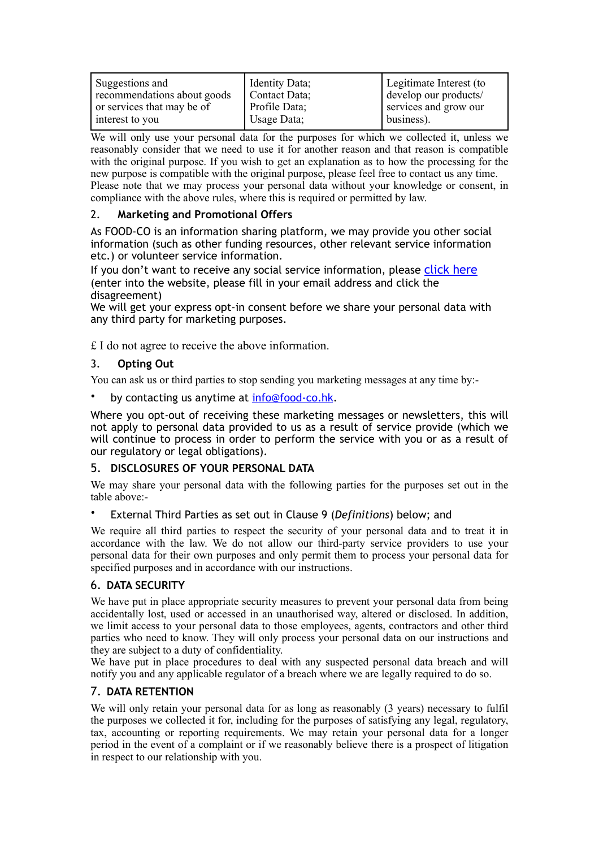We will only use your personal data for the purposes for which we collected it, unless we reasonably consider that we need to use it for another reason and that reason is compatible with the original purpose. If you wish to get an explanation as to how the processing for the new purpose is compatible with the original purpose, please feel free to contact us any time. Please note that we may process your personal data without your knowledge or consent, in compliance with the above rules, where this is required or permitted by law.

# 2. **Marketing and Promotional Offers**

As FOOD-CO is an information sharing platform, we may provide you other social information (such as other funding resources, other relevant service information etc.) or volunteer service information.

If you don't want to receive any social service information, please [click here](https://forms.gle/hdjy9e9NsBRNfYAG9) (enter into the website, please fill in your email address and click the disagreement)

We will get your express opt-in consent before we share your personal data with any third party for marketing purposes.

£ I do not agree to receive the above information.

### 3. **Opting Out**

You can ask us or third parties to stop sending you marketing messages at any time by:-

by contacting us anytime at [info@food-co.hk](mailto:info@food-co.hk).

Where you opt-out of receiving these marketing messages or newsletters, this will not apply to personal data provided to us as a result of service provide (which we will continue to process in order to perform the service with you or as a result of our regulatory or legal obligations).

### 5. **DISCLOSURES OF YOUR PERSONAL DATA**

We may share your personal data with the following parties for the purposes set out in the table above:-

• External Third Parties as set out in Clause 9 (*Definitions*) below; and

We require all third parties to respect the security of your personal data and to treat it in accordance with the law. We do not allow our third-party service providers to use your personal data for their own purposes and only permit them to process your personal data for specified purposes and in accordance with our instructions.

# 6. **DATA SECURITY**

We have put in place appropriate security measures to prevent your personal data from being accidentally lost, used or accessed in an unauthorised way, altered or disclosed. In addition, we limit access to your personal data to those employees, agents, contractors and other third parties who need to know. They will only process your personal data on our instructions and they are subject to a duty of confidentiality.

We have put in place procedures to deal with any suspected personal data breach and will notify you and any applicable regulator of a breach where we are legally required to do so.

### 7. **DATA RETENTION**

We will only retain your personal data for as long as reasonably (3 years) necessary to fulfil the purposes we collected it for, including for the purposes of satisfying any legal, regulatory, tax, accounting or reporting requirements. We may retain your personal data for a longer period in the event of a complaint or if we reasonably believe there is a prospect of litigation in respect to our relationship with you.